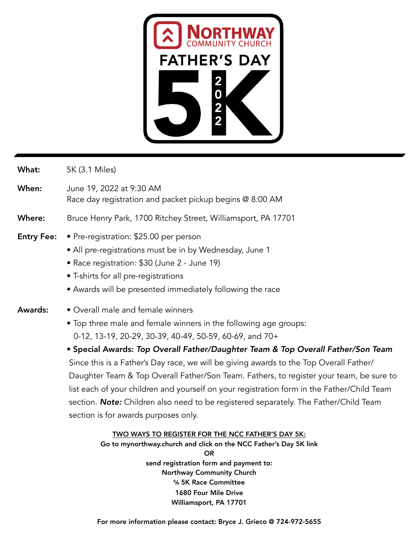

- What: 5K (3.1 Miles)
- When: June 19, 2022 at 9:30 AM Race day registration and packet pickup begins @ 8:00 AM
- Where: Bruce Henry Park, 1700 Ritchey Street, Williamsport, PA 17701
- Entry Fee: Pre-registration: \$25.00 per person
	- All pre-registrations must be in by Wednesday, June 1
	- Race registration: \$30 (June 2 June 19)
	- T-shirts for all pre-registrations
	- Awards will be presented immediately following the race
- Awards: Overall male and female winners
	- Top three male and female winners in the following age groups: 0-12, 13-19, 20-29, 30-39, 40-49, 50-59, 60-69, and 70+

• Special Awards: *Top Overall Father/Daughter Team & Top Overall Father/Son Team*  Since this is a Father's Day race, we will be giving awards to the Top Overall Father/ Daughter Team & Top Overall Father/Son Team. Fathers, to register your team, be sure to list each of your children and yourself on your registration form in the Father/Child Team section. *Note:* Children also need to be registered separately. The Father/Child Team section is for awards purposes only.

## TWO WAYS TO REGISTER FOR THE NCC FATHER'S DAY 5K:

Go to mynorthway.church and click on the NCC Father's Day 5K link OR send registration form and payment to: Northway Community Church **℅** 5K Race Committee 1680 Four Mile Drive Williamsport, PA 17701